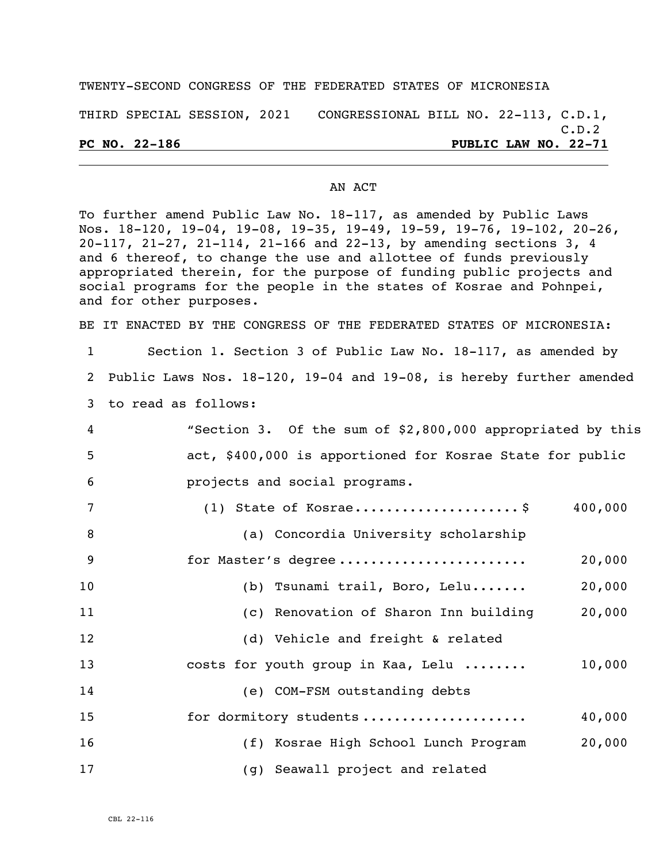## TWENTY-SECOND CONGRESS OF THE FEDERATED STATES OF MICRONESIA

THIRD SPECIAL SESSION, 2021 CONGRESSIONAL BILL NO. 22-113, C.D.1,

## AN ACT

To further amend Public Law No. 18-117, as amended by Public Laws Nos. 18-120, 19-04, 19-08, 19-35, 19-49, 19-59, 19-76, 19-102, 20-26, 20-117, 21-27, 21-114, 21-166 and 22-13, by amending sections 3, 4 and 6 thereof, to change the use and allottee of funds previously appropriated therein, for the purpose of funding public projects and social programs for the people in the states of Kosrae and Pohnpei, and for other purposes.

BE IT ENACTED BY THE CONGRESS OF THE FEDERATED STATES OF MICRONESIA:

1 Section 1. Section 3 of Public Law No. 18-117, as amended by 2 Public Laws Nos. 18-120, 19-04 and 19-08, is hereby further amended 3 to read as follows:

| -4  | "Section 3. Of the sum of \$2,800,000 appropriated by this |
|-----|------------------------------------------------------------|
| -5. | act, \$400,000 is apportioned for Kosrae State for public  |
| - 6 | projects and social programs.                              |

| 7  | $(1)$ State of Kosrae\$               | 400,000 |
|----|---------------------------------------|---------|
| 8  | (a) Concordia University scholarship  |         |
| -9 | for Master's degree                   | 20,000  |
| 10 | (b) Tsunami trail, Boro, Lelu         | 20,000  |
| 11 | (c) Renovation of Sharon Inn building | 20,000  |
| 12 | (d) Vehicle and freight & related     |         |
| 13 | costs for youth group in Kaa, Lelu    | 10,000  |
| 14 | (e) COM-FSM outstanding debts         |         |
| 15 | for dormitory students                | 40,000  |
| 16 | (f) Kosrae High School Lunch Program  | 20,000  |
| 17 | (g) Seawall project and related       |         |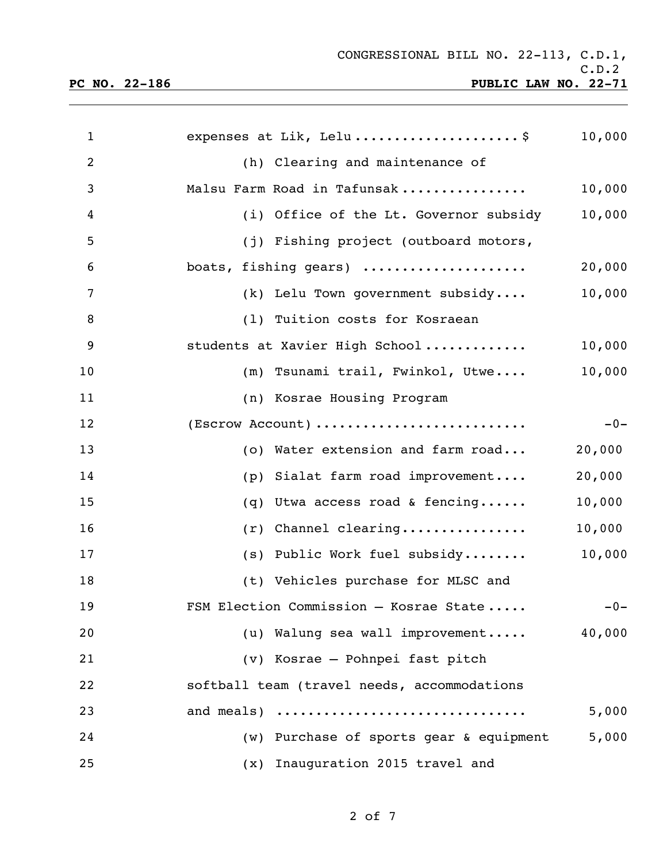| $\mathbf{1}$   | expenses at Lik, Lelu\$                     | 10,000 |
|----------------|---------------------------------------------|--------|
| $\overline{2}$ | (h) Clearing and maintenance of             |        |
| 3              | Malsu Farm Road in Tafunsak                 | 10,000 |
| 4              | (i) Office of the Lt. Governor subsidy      | 10,000 |
| 5              | (j) Fishing project (outboard motors,       |        |
| 6              | boats, fishing gears)                       | 20,000 |
| 7              | (k) Lelu Town government subsidy            | 10,000 |
| 8              | (1) Tuition costs for Kosraean              |        |
| 9              | students at Xavier High School              | 10,000 |
| 10             | (m) Tsunami trail, Fwinkol, Utwe            | 10,000 |
| 11             | (n) Kosrae Housing Program                  |        |
| 12             | (Escrow Account)                            | $-0-$  |
| 13             | (o) Water extension and farm road           | 20,000 |
| 14             | (p) Sialat farm road improvement            | 20,000 |
| 15             | (q) Utwa access road & fencing              | 10,000 |
| 16             | $(r)$ Channel clearing                      | 10,000 |
| 17             | (s) Public Work fuel subsidy                | 10,000 |
| 18             | (t) Vehicles purchase for MLSC and          |        |
| 19             | FSM Election Commission - Kosrae State      | $-0-$  |
| 20             | (u) Walung sea wall improvement             | 40,000 |
| 21             | (v) Kosrae - Pohnpei fast pitch             |        |
| 22             | softball team (travel needs, accommodations |        |
| 23             | and meals)                                  | 5,000  |
| 24             | Purchase of sports gear & equipment<br>(w)  | 5,000  |
| 25             | (x) Inauguration 2015 travel and            |        |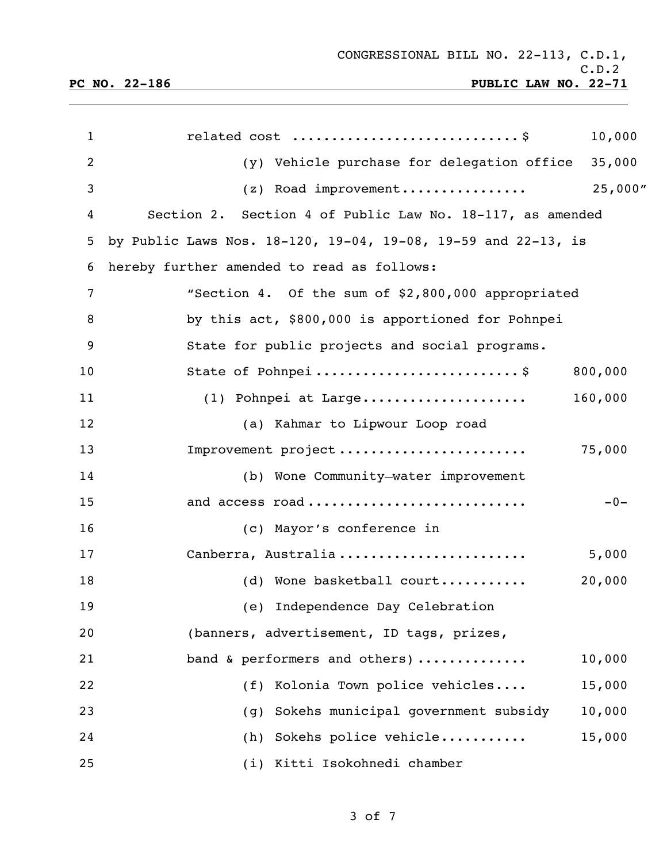| $\mathbf{1}$ | related cost  \$                                              | 10,000   |
|--------------|---------------------------------------------------------------|----------|
| 2            | (y) Vehicle purchase for delegation office                    | 35,000   |
| 3            | $(z)$ Road improvement                                        | 25,000'' |
| 4            | Section 2. Section 4 of Public Law No. 18-117, as amended     |          |
| 5            | by Public Laws Nos. 18-120, 19-04, 19-08, 19-59 and 22-13, is |          |
| 6            | hereby further amended to read as follows:                    |          |
| 7            | "Section 4. Of the sum of \$2,800,000 appropriated            |          |
| 8            | by this act, \$800,000 is apportioned for Pohnpei             |          |
| 9            | State for public projects and social programs.                |          |
| 10           |                                                               | 800,000  |
| 11           | $(1)$ Pohnpei at Large                                        | 160,000  |
| 12           | (a) Kahmar to Lipwour Loop road                               |          |
| 13           | Improvement project                                           | 75,000   |
| 14           | (b) Wone Community-water improvement                          |          |
| 15           | and access road                                               | $-0-$    |
| 16           | (c) Mayor's conference in                                     |          |
| 17           | Canberra, Australia                                           | 5,000    |
| 18           | (d) Wone basketball court                                     | 20,000   |
| 19           | (e) Independence Day Celebration                              |          |
| 20           | (banners, advertisement, ID tags, prizes,                     |          |
| 21           | band & performers and others)                                 | 10,000   |
| 22           | Kolonia Town police vehicles<br>(f)                           | 15,000   |
| 23           | Sokehs municipal government subsidy<br>(g)                    | 10,000   |
| 24           | Sokehs police vehicle<br>(h)                                  | 15,000   |
| 25           | (i) Kitti Isokohnedi chamber                                  |          |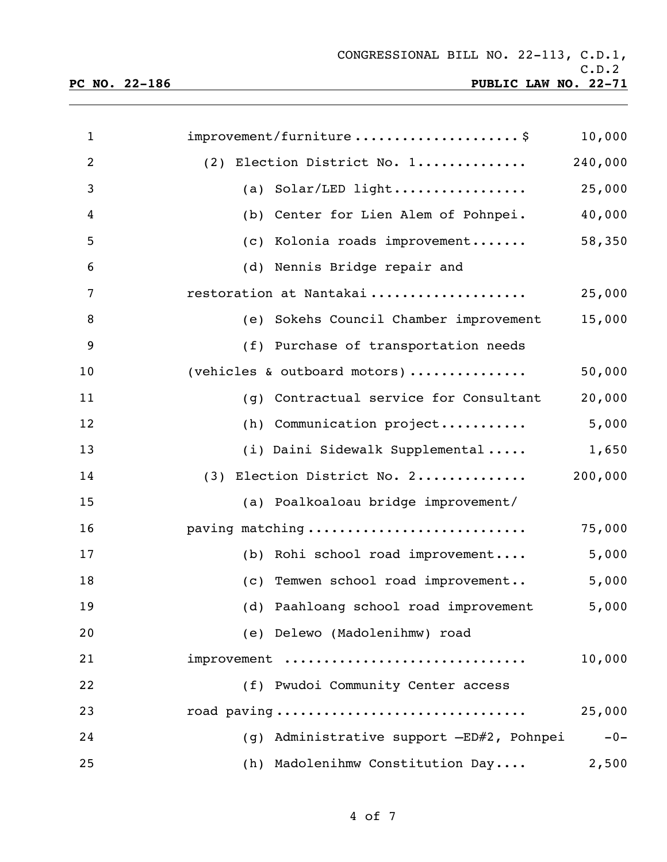| $\mathbf{1}$   | improvement/furniture\$                   | 10,000  |
|----------------|-------------------------------------------|---------|
| $\overline{2}$ | (2) Election District No. 1               | 240,000 |
| $\mathbf{3}$   | (a) Solar/LED light                       | 25,000  |
| 4              | (b) Center for Lien Alem of Pohnpei.      | 40,000  |
| 5              | (c) Kolonia roads improvement             | 58,350  |
| 6              | (d) Nennis Bridge repair and              |         |
| 7              | restoration at Nantakai                   | 25,000  |
| 8              | (e) Sokehs Council Chamber improvement    | 15,000  |
| 9              | (f) Purchase of transportation needs      |         |
| 10             | (vehicles & outboard motors)              | 50,000  |
| 11             | (g) Contractual service for Consultant    | 20,000  |
| 12             | (h) Communication project                 | 5,000   |
| 13             | (i) Daini Sidewalk Supplemental           | 1,650   |
| 14             | (3) Election District No. 2               | 200,000 |
| 15             | (a) Poalkoaloau bridge improvement/       |         |
| 16             | paving matching                           | 75,000  |
| 17             | (b) Rohi school road improvement          | 5,000   |
| 18             | (c) Temwen school road improvement        | 5,000   |
| 19             | (d) Paahloang school road improvement     | 5,000   |
| 20             | (e) Delewo (Madolenihmw) road             |         |
| 21             | improvement                               | 10,000  |
| 22             | (f) Pwudoi Community Center access        |         |
| 23             | road paving                               | 25,000  |
| 24             | (g) Administrative support -ED#2, Pohnpei | $-0-$   |
| 25             | (h) Madolenihmw Constitution Day          | 2,500   |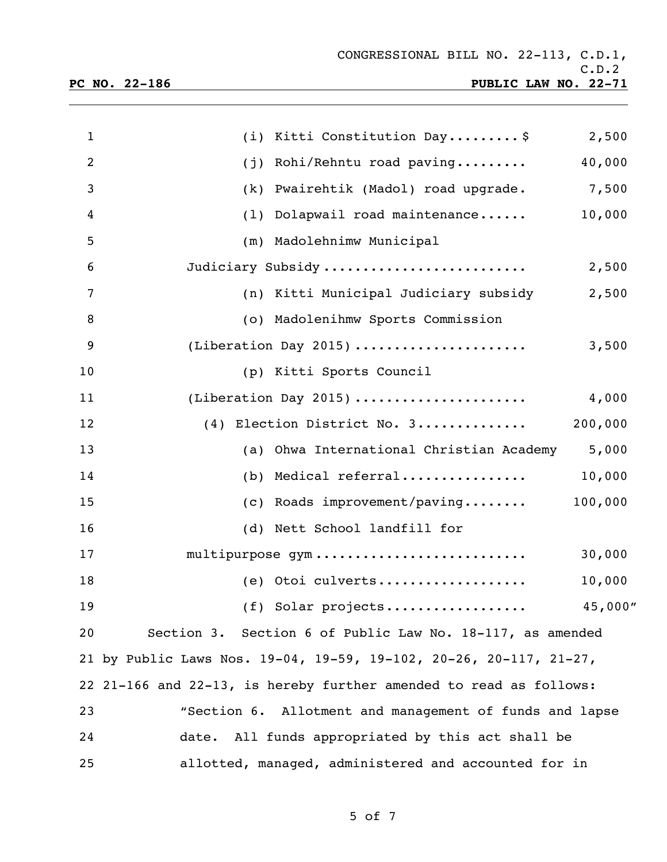| $\mathbf{1}$   | (i) Kitti Constitution Day \$                                      | 2,500   |
|----------------|--------------------------------------------------------------------|---------|
| $\overline{2}$ | Rohi/Rehntu road paving<br>(j)                                     | 40,000  |
| 3              | Pwairehtik (Madol) road upgrade.<br>(k)                            | 7,500   |
| 4              | (1) Dolapwail road maintenance                                     | 10,000  |
| 5              | (m) Madolehnimw Municipal                                          |         |
| 6              | Judiciary Subsidy                                                  | 2,500   |
| 7              | (n) Kitti Municipal Judiciary subsidy                              | 2,500   |
| 8              | (o) Madolenihmw Sports Commission                                  |         |
| 9              | (Liberation Day 2015)                                              | 3,500   |
| 10             | (p) Kitti Sports Council                                           |         |
| 11             | (Liberation Day 2015)                                              | 4,000   |
| 12             | (4) Election District No. 3                                        | 200,000 |
| 13             | (a) Ohwa International Christian Academy                           | 5,000   |
| 14             | (b) Medical referral                                               | 10,000  |
| 15             | (c) Roads improvement/paving                                       | 100,000 |
| 16             | (d) Nett School landfill for                                       |         |
| 17             | multipurpose gym                                                   | 30,000  |
| 18             | (e) Otoi culverts                                                  | 10,000  |
| 19             | $(f)$ Solar projects                                               | 45,000" |
| 20             | Section 3. Section 6 of Public Law No. 18-117, as amended          |         |
|                | 21 by Public Laws Nos. 19-04, 19-59, 19-102, 20-26, 20-117, 21-27, |         |
|                | 22 21-166 and 22-13, is hereby further amended to read as follows: |         |
| 23             | "Section 6. Allotment and management of funds and lapse            |         |
| 24             | All funds appropriated by this act shall be<br>date.               |         |
| 25             | allotted, managed, administered and accounted for in               |         |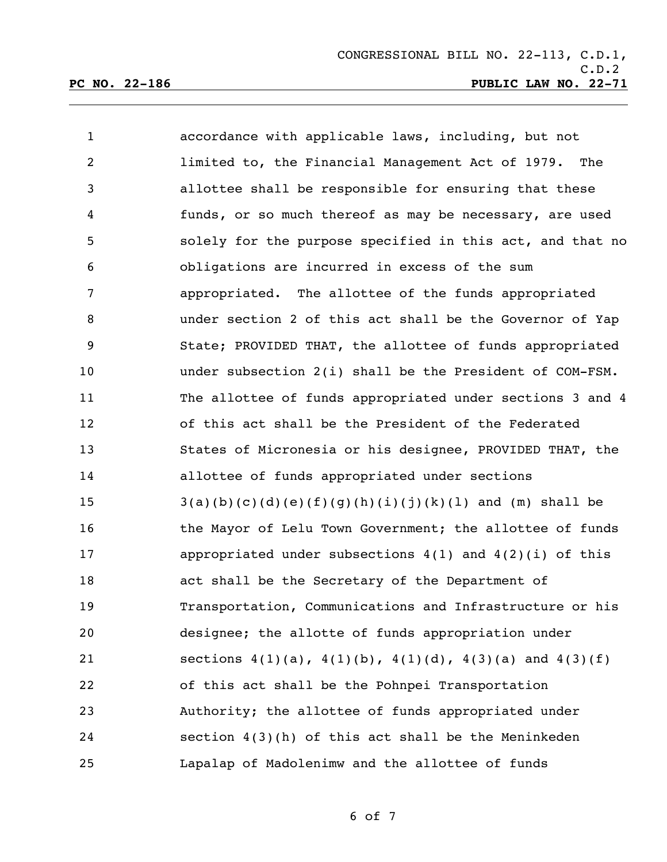| $\mathbf{1}$   | accordance with applicable laws, including, but not                  |
|----------------|----------------------------------------------------------------------|
| $\overline{2}$ | limited to, the Financial Management Act of 1979. The                |
| 3              | allottee shall be responsible for ensuring that these                |
| 4              | funds, or so much thereof as may be necessary, are used              |
| 5              | solely for the purpose specified in this act, and that no            |
| 6              | obligations are incurred in excess of the sum                        |
| 7              | appropriated. The allottee of the funds appropriated                 |
| 8              | under section 2 of this act shall be the Governor of Yap             |
| 9              | State; PROVIDED THAT, the allottee of funds appropriated             |
| 10             | under subsection 2(i) shall be the President of COM-FSM.             |
| 11             | The allottee of funds appropriated under sections 3 and 4            |
| 12             | of this act shall be the President of the Federated                  |
| 13             | States of Micronesia or his designee, PROVIDED THAT, the             |
| 14             | allottee of funds appropriated under sections                        |
| 15             | $3(a)(b)(c)(d)(e)(f)(g)(h)(i)(j)(k)(l)$ and $(m)$ shall be           |
| 16             | the Mayor of Lelu Town Government; the allottee of funds             |
| 17             | appropriated under subsections $4(1)$ and $4(2)(i)$ of this          |
| 18             | act shall be the Secretary of the Department of                      |
| 19             | Transportation, Communications and Infrastructure or his             |
| 20             | designee; the allotte of funds appropriation under                   |
| 21             | sections $4(1)(a)$ , $4(1)(b)$ , $4(1)(d)$ , $4(3)(a)$ and $4(3)(f)$ |
| 22             | of this act shall be the Pohnpei Transportation                      |
| 23             | Authority; the allottee of funds appropriated under                  |
| 24             | section $4(3)(h)$ of this act shall be the Meninkeden                |
| 25             | Lapalap of Madolenimw and the allottee of funds                      |